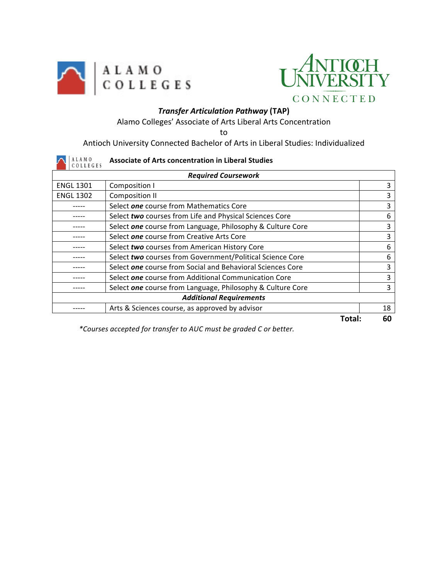



## *Transfer Articulation Pathway* **(TAP)**

Alamo Colleges' Associate of Arts Liberal Arts Concentration

to

Antioch University Connected Bachelor of Arts in Liberal Studies: Individualized

| LAMO<br>COLLEGES           | <b>Associate of Arts concentration in Liberal Studies</b>         |    |  |  |
|----------------------------|-------------------------------------------------------------------|----|--|--|
| <b>Required Coursework</b> |                                                                   |    |  |  |
| <b>ENGL 1301</b>           | Composition I                                                     | 3  |  |  |
| <b>ENGL 1302</b>           | Composition II                                                    | 3  |  |  |
|                            | Select one course from Mathematics Core                           | 3  |  |  |
|                            | Select two courses from Life and Physical Sciences Core           | 6  |  |  |
|                            | Select one course from Language, Philosophy & Culture Core        | 3  |  |  |
|                            | Select one course from Creative Arts Core                         | 3  |  |  |
|                            | Select two courses from American History Core                     | 6  |  |  |
|                            | Select two courses from Government/Political Science Core         | 6  |  |  |
|                            | Select <b>one</b> course from Social and Behavioral Sciences Core | 3  |  |  |
|                            | Select one course from Additional Communication Core              | 3  |  |  |
|                            | Select one course from Language, Philosophy & Culture Core        | 3  |  |  |
|                            | <b>Additional Requirements</b>                                    |    |  |  |
|                            | Arts & Sciences course, as approved by advisor                    | 18 |  |  |
|                            | Total:                                                            | 60 |  |  |

*\*Courses accepted for transfer to AUC must be graded C or better.*